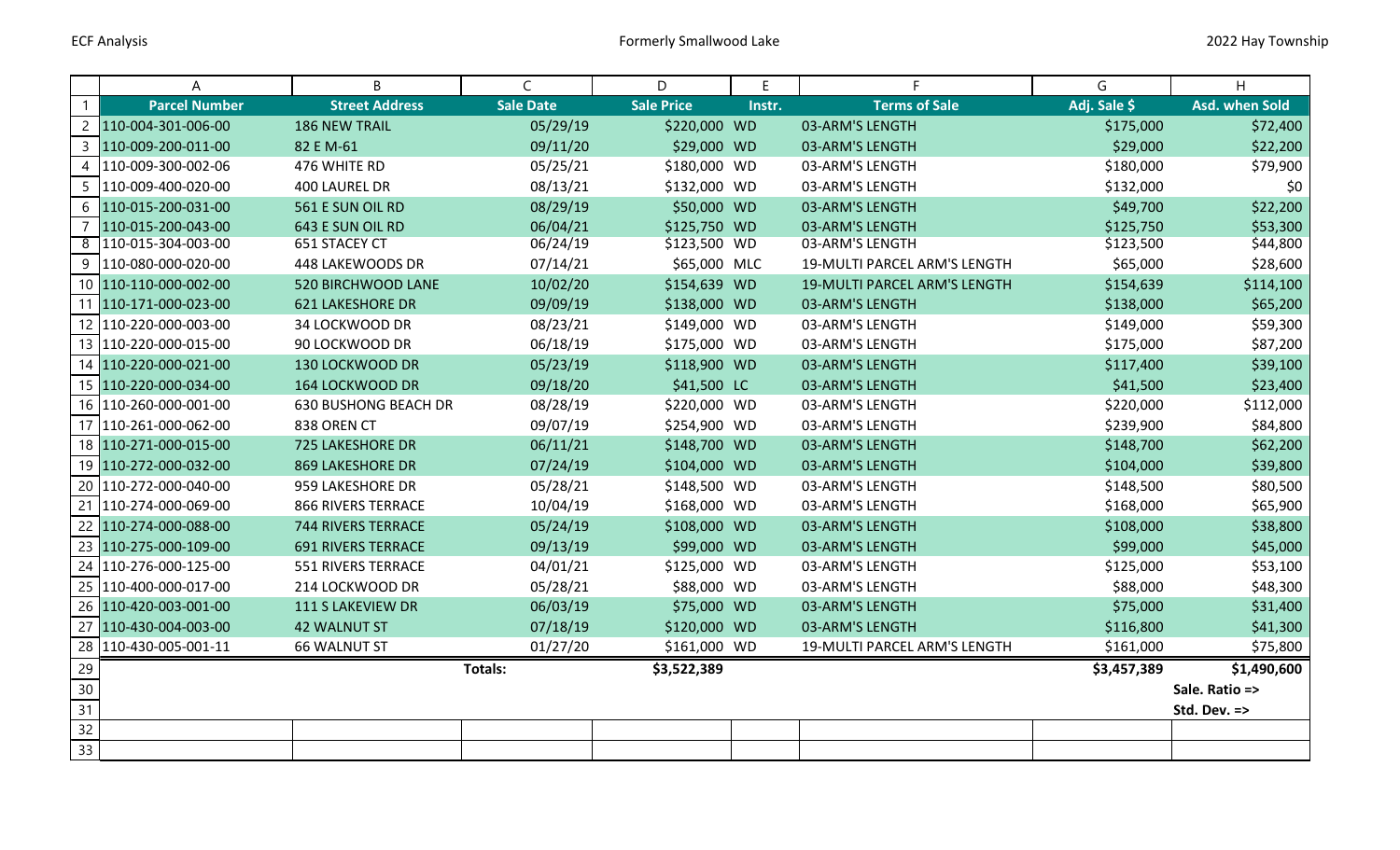|                | A                     | B                           | $\mathsf{C}$     | D                 | E      | F.                           | G            | H              |
|----------------|-----------------------|-----------------------------|------------------|-------------------|--------|------------------------------|--------------|----------------|
| $\mathbf{1}$   | <b>Parcel Number</b>  | <b>Street Address</b>       | <b>Sale Date</b> | <b>Sale Price</b> | Instr. | <b>Terms of Sale</b>         | Adj. Sale \$ | Asd. when Sold |
| $\overline{2}$ | 110-004-301-006-00    | <b>186 NEW TRAIL</b>        | 05/29/19         | \$220,000 WD      |        | 03-ARM'S LENGTH              | \$175,000    | \$72,400       |
| 3              | 110-009-200-011-00    | 82 E M-61                   | 09/11/20         | \$29,000 WD       |        | 03-ARM'S LENGTH              | \$29,000     | \$22,200       |
| 4              | 110-009-300-002-06    | 476 WHITE RD                | 05/25/21         | \$180,000 WD      |        | 03-ARM'S LENGTH              | \$180,000    | \$79,900       |
| 5              | 110-009-400-020-00    | 400 LAUREL DR               | 08/13/21         | \$132,000 WD      |        | 03-ARM'S LENGTH              | \$132,000    | \$0            |
| 6              | 110-015-200-031-00    | 561 E SUN OIL RD            | 08/29/19         | \$50,000 WD       |        | 03-ARM'S LENGTH              | \$49,700     | \$22,200       |
| 7              | 110-015-200-043-00    | 643 E SUN OIL RD            | 06/04/21         | \$125,750 WD      |        | 03-ARM'S LENGTH              | \$125,750    | \$53,300       |
| ത്             | 110-015-304-003-00    | 651 STACEY CT               | 06/24/19         | \$123,500 WD      |        | 03-ARM'S LENGTH              | \$123,500    | \$44,800       |
| 9              | 110-080-000-020-00    | 448 LAKEWOODS DR            | 07/14/21         | \$65,000 MLC      |        | 19-MULTI PARCEL ARM'S LENGTH | \$65,000     | \$28,600       |
|                | 10 110-110-000-002-00 | 520 BIRCHWOOD LANE          | 10/02/20         | \$154,639 WD      |        | 19-MULTI PARCEL ARM'S LENGTH | \$154,639    | \$114,100      |
| 11             | 110-171-000-023-00    | <b>621 LAKESHORE DR</b>     | 09/09/19         | \$138,000 WD      |        | 03-ARM'S LENGTH              | \$138,000    | \$65,200       |
|                | 12 110-220-000-003-00 | 34 LOCKWOOD DR              | 08/23/21         | \$149,000 WD      |        | 03-ARM'S LENGTH              | \$149,000    | \$59,300       |
|                | 13 110-220-000-015-00 | 90 LOCKWOOD DR              | 06/18/19         | \$175,000 WD      |        | 03-ARM'S LENGTH              | \$175,000    | \$87,200       |
|                | 14 110-220-000-021-00 | 130 LOCKWOOD DR             | 05/23/19         | \$118,900 WD      |        | 03-ARM'S LENGTH              | \$117,400    | \$39,100       |
|                | 15 110-220-000-034-00 | 164 LOCKWOOD DR             | 09/18/20         | \$41,500 LC       |        | 03-ARM'S LENGTH              | \$41,500     | \$23,400       |
|                | 16 110-260-000-001-00 | <b>630 BUSHONG BEACH DR</b> | 08/28/19         | \$220,000 WD      |        | 03-ARM'S LENGTH              | \$220,000    | \$112,000      |
|                | 17 110-261-000-062-00 | 838 OREN CT                 | 09/07/19         | \$254,900 WD      |        | 03-ARM'S LENGTH              | \$239,900    | \$84,800       |
|                | 18 110-271-000-015-00 | <b>725 LAKESHORE DR</b>     | 06/11/21         | \$148,700 WD      |        | 03-ARM'S LENGTH              | \$148,700    | \$62,200       |
|                | 19 110-272-000-032-00 | <b>869 LAKESHORE DR</b>     | 07/24/19         | \$104,000 WD      |        | 03-ARM'S LENGTH              | \$104,000    | \$39,800       |
| 20             | 110-272-000-040-00    | 959 LAKESHORE DR            | 05/28/21         | \$148,500 WD      |        | 03-ARM'S LENGTH              | \$148,500    | \$80,500       |
| 21             | 110-274-000-069-00    | 866 RIVERS TERRACE          | 10/04/19         | \$168,000 WD      |        | 03-ARM'S LENGTH              | \$168,000    | \$65,900       |
|                | 22 110-274-000-088-00 | <b>744 RIVERS TERRACE</b>   | 05/24/19         | \$108,000 WD      |        | 03-ARM'S LENGTH              | \$108,000    | \$38,800       |
|                | 23 110-275-000-109-00 | <b>691 RIVERS TERRACE</b>   | 09/13/19         | \$99,000 WD       |        | 03-ARM'S LENGTH              | \$99,000     | \$45,000       |
|                | 24 110-276-000-125-00 | 551 RIVERS TERRACE          | 04/01/21         | \$125,000 WD      |        | 03-ARM'S LENGTH              | \$125,000    | \$53,100       |
| 25             | 110-400-000-017-00    | 214 LOCKWOOD DR             | 05/28/21         | \$88,000 WD       |        | 03-ARM'S LENGTH              | \$88,000     | \$48,300       |
|                | 26 110-420-003-001-00 | 111 S LAKEVIEW DR           | 06/03/19         | \$75,000 WD       |        | 03-ARM'S LENGTH              | \$75,000     | \$31,400       |
| 27             | 110-430-004-003-00    | <b>42 WALNUT ST</b>         | 07/18/19         | \$120,000 WD      |        | 03-ARM'S LENGTH              | \$116,800    | \$41,300       |
|                | 28 110-430-005-001-11 | <b>66 WALNUT ST</b>         | 01/27/20         | \$161,000 WD      |        | 19-MULTI PARCEL ARM'S LENGTH | \$161,000    | \$75,800       |
| 29             |                       |                             | <b>Totals:</b>   | \$3,522,389       |        |                              | \$3,457,389  | \$1,490,600    |
| 30             |                       |                             |                  |                   |        |                              |              | Sale. Ratio => |
| 31             |                       |                             |                  |                   |        |                              |              | Std. Dev. =>   |
| 32             |                       |                             |                  |                   |        |                              |              |                |
| 33             |                       |                             |                  |                   |        |                              |              |                |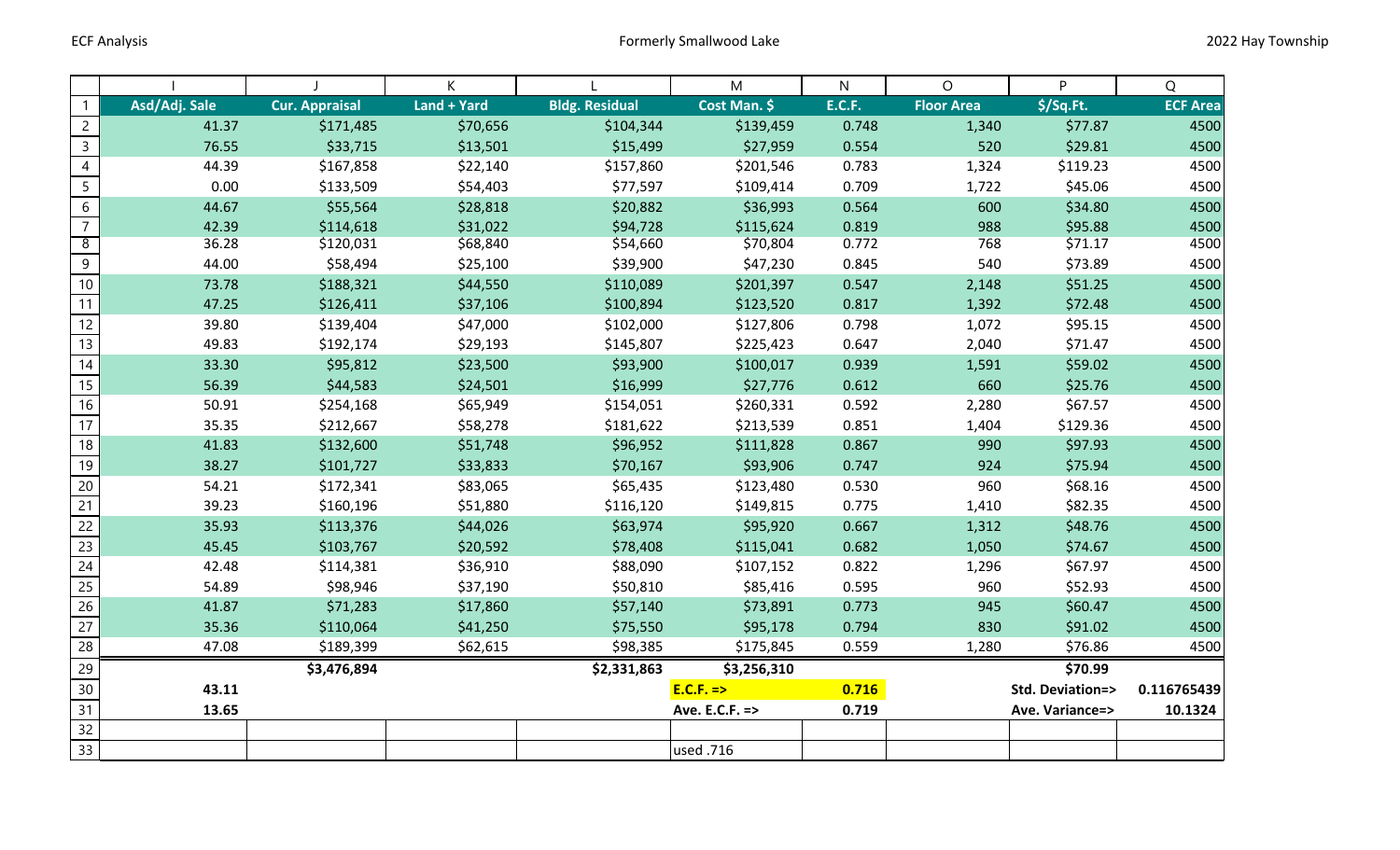|                 |               |                       | К           |                       | M              | N             | $\circ$           | P                | Q               |
|-----------------|---------------|-----------------------|-------------|-----------------------|----------------|---------------|-------------------|------------------|-----------------|
| $\mathbf{1}$    | Asd/Adj. Sale | <b>Cur. Appraisal</b> | Land + Yard | <b>Bldg. Residual</b> | Cost Man. \$   | <b>E.C.F.</b> | <b>Floor Area</b> | $$$ /Sq.Ft.      | <b>ECF Area</b> |
| $\overline{2}$  | 41.37         | \$171,485             | \$70,656    | \$104,344             | \$139,459      | 0.748         | 1,340             | \$77.87          | 4500            |
| $\overline{3}$  | 76.55         | \$33,715              | \$13,501    | \$15,499              | \$27,959       | 0.554         | 520               | \$29.81          | 4500            |
| $\overline{4}$  | 44.39         | \$167,858             | \$22,140    | \$157,860             | \$201,546      | 0.783         | 1,324             | \$119.23         | 4500            |
| $5\phantom{a}$  | 0.00          | \$133,509             | \$54,403    | \$77,597              | \$109,414      | 0.709         | 1,722             | \$45.06          | 4500            |
| $6\overline{6}$ | 44.67         | \$55,564              | \$28,818    | \$20,882              | \$36,993       | 0.564         | 600               | \$34.80          | 4500            |
| $\overline{7}$  | 42.39         | \$114,618             | \$31,022    | \$94,728              | \$115,624      | 0.819         | 988               | \$95.88          | 4500            |
| $\overline{8}$  | 36.28         | \$120,031             | \$68,840    | \$54,660              | \$70,804       | 0.772         | 768               | \$71.17          | 4500            |
| 9               | 44.00         | \$58,494              | \$25,100    | \$39,900              | \$47,230       | 0.845         | 540               | \$73.89          | 4500            |
| $10\,$          | 73.78         | \$188,321             | \$44,550    | \$110,089             | \$201,397      | 0.547         | 2,148             | \$51.25          | 4500            |
| 11              | 47.25         | \$126,411             | \$37,106    | \$100,894             | \$123,520      | 0.817         | 1,392             | \$72.48          | 4500            |
| 12              | 39.80         | \$139,404             | \$47,000    | \$102,000             | \$127,806      | 0.798         | 1,072             | \$95.15          | 4500            |
| 13              | 49.83         | \$192,174             | \$29,193    | \$145,807             | \$225,423      | 0.647         | 2,040             | \$71.47          | 4500            |
| 14              | 33.30         | \$95,812              | \$23,500    | \$93,900              | \$100,017      | 0.939         | 1,591             | \$59.02          | 4500            |
| 15              | 56.39         | \$44,583              | \$24,501    | \$16,999              | \$27,776       | 0.612         | 660               | \$25.76          | 4500            |
| 16              | 50.91         | \$254,168             | \$65,949    | \$154,051             | \$260,331      | 0.592         | 2,280             | \$67.57          | 4500            |
| $\overline{17}$ | 35.35         | \$212,667             | \$58,278    | \$181,622             | \$213,539      | 0.851         | 1,404             | \$129.36         | 4500            |
| 18              | 41.83         | \$132,600             | \$51,748    | \$96,952              | \$111,828      | 0.867         | 990               | \$97.93          | 4500            |
| 19              | 38.27         | \$101,727             | \$33,833    | \$70,167              | \$93,906       | 0.747         | 924               | \$75.94          | 4500            |
| $20\,$          | 54.21         | \$172,341             | \$83,065    | \$65,435              | \$123,480      | 0.530         | 960               | \$68.16          | 4500            |
| $\overline{21}$ | 39.23         | \$160,196             | \$51,880    | \$116,120             | \$149,815      | 0.775         | 1,410             | \$82.35          | 4500            |
| $\overline{22}$ | 35.93         | \$113,376             | \$44,026    | \$63,974              | \$95,920       | 0.667         | 1,312             | \$48.76          | 4500            |
| $\overline{23}$ | 45.45         | \$103,767             | \$20,592    | \$78,408              | \$115,041      | 0.682         | 1,050             | \$74.67          | 4500            |
| 24              | 42.48         | \$114,381             | \$36,910    | \$88,090              | \$107,152      | 0.822         | 1,296             | \$67.97          | 4500            |
| 25              | 54.89         | \$98,946              | \$37,190    | \$50,810              | \$85,416       | 0.595         | 960               | \$52.93          | 4500            |
| 26              | 41.87         | \$71,283              | \$17,860    | \$57,140              | \$73,891       | 0.773         | 945               | \$60.47          | 4500            |
| 27              | 35.36         | \$110,064             | \$41,250    | \$75,550              | \$95,178       | 0.794         | 830               | \$91.02          | 4500            |
| $\overline{28}$ | 47.08         | \$189,399             | \$62,615    | \$98,385              | \$175,845      | 0.559         | 1,280             | \$76.86          | 4500            |
| 29              |               | \$3,476,894           |             | \$2,331,863           | \$3,256,310    |               |                   | \$70.99          |                 |
| 30 <sub>o</sub> | 43.11         |                       |             |                       | $E.C.F. = >$   | 0.716         |                   | Std. Deviation=> | 0.116765439     |
| $\overline{31}$ | 13.65         |                       |             |                       | Ave. E.C.F. => | 0.719         |                   | Ave. Variance=>  | 10.1324         |
| 32              |               |                       |             |                       |                |               |                   |                  |                 |
| 33              |               |                       |             |                       | used .716      |               |                   |                  |                 |